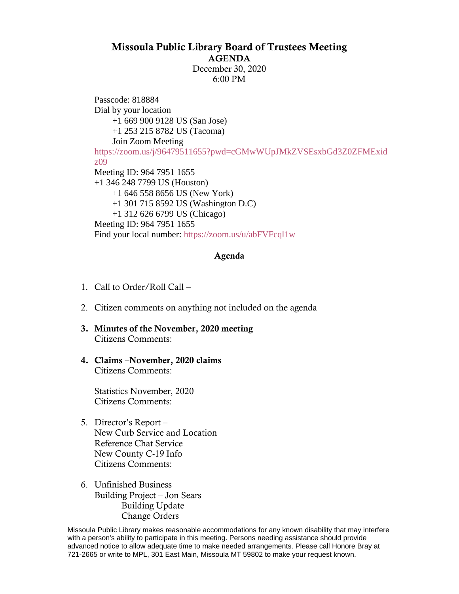## Missoula Public Library Board of Trustees Meeting AGENDA

December 30, 2020 6:00 PM

Passcode: 818884 Dial by your location +1 669 900 9128 US (San Jose) +1 253 215 8782 US (Tacoma) Join Zoom Meeting [https://zoom.us/j/96479511655?pwd=cGMwWUpJMkZVSEsxbGd3Z0ZFMExid](https://zoom.us/j/96479511655?pwd=cGMwWUpJMkZVSEsxbGd3Z0ZFMExidz09) [z09](https://zoom.us/j/96479511655?pwd=cGMwWUpJMkZVSEsxbGd3Z0ZFMExidz09) Meeting ID: 964 7951 1655 +1 346 248 7799 US (Houston) +1 646 558 8656 US (New York) +1 301 715 8592 US (Washington D.C) +1 312 626 6799 US (Chicago) Meeting ID: 964 7951 1655 Find your local number:<https://zoom.us/u/abFVFcql1w>

## Agenda

- 1. Call to Order/Roll Call –
- 2. Citizen comments on anything not included on the agenda
- 3. Minutes of the November, 2020 meeting Citizens Comments:
- 4. Claims –November, 2020 claims Citizens Comments:

Statistics November, 2020 Citizens Comments:

- 5. Director's Report New Curb Service and Location Reference Chat Service New County C-19 Info Citizens Comments:
- 6. Unfinished Business Building Project – Jon Sears Building Update Change Orders

Missoula Public Library makes reasonable accommodations for any known disability that may interfere with a person's ability to participate in this meeting. Persons needing assistance should provide advanced notice to allow adequate time to make needed arrangements. Please call Honore Bray at 721-2665 or write to MPL, 301 East Main, Missoula MT 59802 to make your request known.